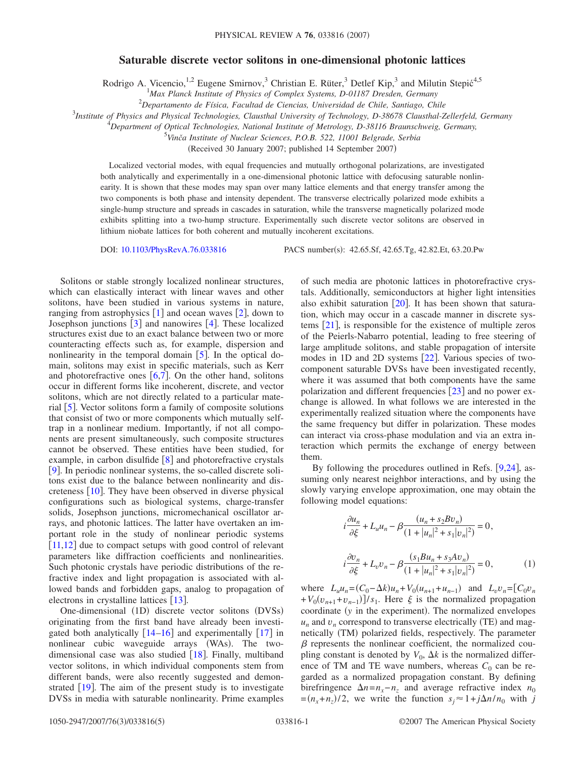## **Saturable discrete vector solitons in one-dimensional photonic lattices**

Rodrigo A. Vicencio,<sup>1,2</sup> Eugene Smirnov,<sup>3</sup> Christian E. Rüter,<sup>3</sup> Detlef Kip,<sup>3</sup> and Milutin Stepić<sup>4,5</sup>

<sup>1</sup> Max Planck Institute of Physics of Complex Systems, D-01187 Dresden, Germany

2 *Departamento de Física, Facultad de Ciencias, Universidad de Chile, Santiago, Chile*

3 *Institute of Physics and Physical Technologies, Clausthal University of Technology, D-38678 Clausthal-Zellerfeld, Germany*

4 *Department of Optical Technologies, National Institute of Metrology, D-38116 Braunschweig, Germany,*

5 *Vinča Institute of Nuclear Sciences, P.O.B. 522, 11001 Belgrade, Serbia*

(Received 30 January 2007; published 14 September 2007)

Localized vectorial modes, with equal frequencies and mutually orthogonal polarizations, are investigated both analytically and experimentally in a one-dimensional photonic lattice with defocusing saturable nonlinearity. It is shown that these modes may span over many lattice elements and that energy transfer among the two components is both phase and intensity dependent. The transverse electrically polarized mode exhibits a single-hump structure and spreads in cascades in saturation, while the transverse magnetically polarized mode exhibits splitting into a two-hump structure. Experimentally such discrete vector solitons are observed in lithium niobate lattices for both coherent and mutually incoherent excitations.

DOI: [10.1103/PhysRevA.76.033816](http://dx.doi.org/10.1103/PhysRevA.76.033816)

PACS number(s): 42.65.Sf, 42.65.Tg, 42.82.Et, 63.20.Pw

Solitons or stable strongly localized nonlinear structures, which can elastically interact with linear waves and other solitons, have been studied in various systems in nature, ranging from astrophysics  $\lceil 1 \rceil$  $\lceil 1 \rceil$  $\lceil 1 \rceil$  and ocean waves  $\lceil 2 \rceil$  $\lceil 2 \rceil$  $\lceil 2 \rceil$ , down to Josephson junctions  $\lceil 3 \rceil$  $\lceil 3 \rceil$  $\lceil 3 \rceil$  and nanowires  $\lceil 4 \rceil$  $\lceil 4 \rceil$  $\lceil 4 \rceil$ . These localized structures exist due to an exact balance between two or more counteracting effects such as, for example, dispersion and nonlinearity in the temporal domain  $\lceil 5 \rceil$  $\lceil 5 \rceil$  $\lceil 5 \rceil$ . In the optical domain, solitons may exist in specific materials, such as Kerr and photorefractive ones  $[6,7]$  $[6,7]$  $[6,7]$  $[6,7]$ . On the other hand, solitons occur in different forms like incoherent, discrete, and vector solitons, which are not directly related to a particular material  $\vert 5 \vert$  $\vert 5 \vert$  $\vert 5 \vert$ . Vector solitons form a family of composite solutions that consist of two or more components which mutually selftrap in a nonlinear medium. Importantly, if not all components are present simultaneously, such composite structures cannot be observed. These entities have been studied, for example, in carbon disulfide  $\begin{bmatrix} 8 \end{bmatrix}$  $\begin{bmatrix} 8 \end{bmatrix}$  $\begin{bmatrix} 8 \end{bmatrix}$  and photorefractive crystals [[9](#page-3-8)]. In periodic nonlinear systems, the so-called discrete solitons exist due to the balance between nonlinearity and discreteness  $|10|$  $|10|$  $|10|$ . They have been observed in diverse physical configurations such as biological systems, charge-transfer solids, Josephson junctions, micromechanical oscillator arrays, and photonic lattices. The latter have overtaken an important role in the study of nonlinear periodic systems [[11](#page-3-10)[,12](#page-3-11)] due to compact setups with good control of relevant parameters like diffraction coefficients and nonlinearities. Such photonic crystals have periodic distributions of the refractive index and light propagation is associated with allowed bands and forbidden gaps, analog to propagation of electrons in crystalline lattices  $\lceil 13 \rceil$  $\lceil 13 \rceil$  $\lceil 13 \rceil$ .

One-dimensional (1D) discrete vector solitons (DVSs) originating from the first band have already been investigated both analytically  $\lceil 14-16 \rceil$  $\lceil 14-16 \rceil$  $\lceil 14-16 \rceil$  and experimentally  $\lceil 17 \rceil$  $\lceil 17 \rceil$  $\lceil 17 \rceil$  in nonlinear cubic waveguide arrays (WAs). The twodimensional case was also studied  $[18]$  $[18]$  $[18]$ . Finally, multiband vector solitons, in which individual components stem from different bands, were also recently suggested and demonstrated  $[19]$  $[19]$  $[19]$ . The aim of the present study is to investigate DVSs in media with saturable nonlinearity. Prime examples of such media are photonic lattices in photorefractive crystals. Additionally, semiconductors at higher light intensities also exhibit saturation  $[20]$  $[20]$  $[20]$ . It has been shown that saturation, which may occur in a cascade manner in discrete systems  $[21]$  $[21]$  $[21]$ , is responsible for the existence of multiple zeros of the Peierls-Nabarro potential, leading to free steering of large amplitude solitons, and stable propagation of intersite modes in 1D and 2D systems  $[22]$  $[22]$  $[22]$ . Various species of twocomponent saturable DVSs have been investigated recently, where it was assumed that both components have the same polarization and different frequencies  $\lceil 23 \rceil$  $\lceil 23 \rceil$  $\lceil 23 \rceil$  and no power exchange is allowed. In what follows we are interested in the experimentally realized situation where the components have the same frequency but differ in polarization. These modes can interact via cross-phase modulation and via an extra interaction which permits the exchange of energy between them.

By following the procedures outlined in Refs.  $[9,24]$  $[9,24]$  $[9,24]$  $[9,24]$ , assuming only nearest neighbor interactions, and by using the slowly varying envelope approximation, one may obtain the following model equations:

<span id="page-0-0"></span>
$$
i\frac{\partial u_n}{\partial \xi} + L_u u_n - \beta \frac{(u_n + s_2 B v_n)}{(1 + |u_n|^2 + s_1|v_n|^2)} = 0,
$$
  

$$
i\frac{\partial v_n}{\partial \xi} + L_v v_n - \beta \frac{(s_1 B u_n + s_3 A v_n)}{(1 + |u_n|^2 + s_1|v_n|^2)} = 0,
$$
 (1)

where  $L_u u_n = (C_0 - \Delta k)u_n + V_0(u_{n+1} + u_{n-1})$  and  $L_v v_n = [C_0 v_n]$  $+V_0(v_{n+1}+v_{n-1})$  /s<sub>1</sub>. Here  $\xi$  is the normalized propagation coordinate (y in the experiment). The normalized envelopes  $u_n$  and  $v_n$  correspond to transverse electrically (TE) and magnetically (TM) polarized fields, respectively. The parameter  $\beta$  represents the nonlinear coefficient, the normalized coupling constant is denoted by  $V_0$ ,  $\Delta k$  is the normalized difference of TM and TE wave numbers, whereas  $C_0$  can be regarded as a normalized propagation constant. By defining birefringence  $\Delta n = n_x - n_z$  and average refractive index  $n_0$  $=(n_x + n_z)/2$ , we write the function  $s_j \approx 1 + j\Delta n/n_0$  with *j*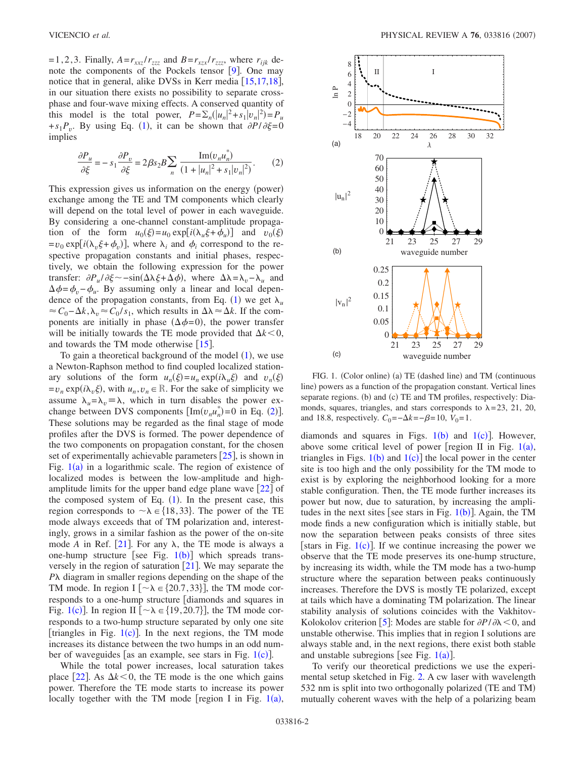=1,2,3. Finally,  $A = r_{xxz}/r_{zzz}$  and  $B = r_{xzx}/r_{zzz}$ , where  $r_{ijk}$  denote the components of the Pockels tensor  $[9]$  $[9]$  $[9]$ . One may notice that in general, alike DVSs in Kerr media  $[15,17,18]$  $[15,17,18]$  $[15,17,18]$  $[15,17,18]$  $[15,17,18]$ , in our situation there exists no possibility to separate crossphase and four-wave mixing effects. A conserved quantity of this model is the total power,  $P = \sum_{n} (|u_n|^2 + s_1 |v_n|^2) = P_u$  $+s_1 P_v$  $+s_1 P_v$  $+s_1 P_v$ . By using Eq. (1), it can be shown that  $\partial P/\partial \xi = 0$ implies

<span id="page-1-0"></span>
$$
\frac{\partial P_u}{\partial \xi} = -s_1 \frac{\partial P_v}{\partial \xi} = 2\beta s_2 B \sum_n \frac{\text{Im}(v_n u_n^*)}{(1 + |u_n|^2 + s_1 |v_n|^2)}.
$$
 (2)

This expression gives us information on the energy (power) exchange among the TE and TM components which clearly will depend on the total level of power in each waveguide. By considering a one-channel constant-amplitude propagation of the form  $u_0(\xi) = u_0 \exp[i(\lambda_u \xi + \phi_u)]$  and  $v_0(\xi)$  $= v_0 \exp[i(\lambda_v \xi + \phi_v)]$ , where  $\lambda_i$  and  $\phi_i$  correspond to the respective propagation constants and initial phases, respectively, we obtain the following expression for the power transfer:  $\partial P_u / \partial \xi$  ~ -  $\sin(\Delta \lambda \xi + \Delta \phi)$ , where  $\Delta \lambda = \lambda_v - \lambda_u$  and  $\Delta \phi = \phi_v - \phi_u$ . By assuming only a linear and local depen-dence of the propagation constants, from Eq. ([1](#page-0-0)) we get  $\lambda_u$  $\approx C_0 - \Delta k$ ,  $\lambda_v \approx C_0 / s_1$ , which results in  $\Delta \lambda \approx \Delta k$ . If the components are initially in phase  $(\Delta \phi = 0)$ , the power transfer will be initially towards the TE mode provided that  $\Delta k < 0$ , and towards the TM mode otherwise  $\lceil 15 \rceil$  $\lceil 15 \rceil$  $\lceil 15 \rceil$ .

To gain a theoretical background of the model  $(1)$  $(1)$  $(1)$ , we use a Newton-Raphson method to find coupled localized stationary solutions of the form  $u_n(\xi) = u_n \exp(i\lambda u \xi)$  and  $v_n(\xi)$  $=v_n \exp(i\lambda_v \xi)$ , with  $u_n, v_n \in \mathbb{R}$ . For the sake of simplicity we assume  $\lambda_u = \lambda_v \equiv \lambda$ , which in turn disables the power exchange between DVS components  $\left[\text{Im}(v_n u_n^*)=0 \text{ in Eq. (2)}\right]$  $\left[\text{Im}(v_n u_n^*)=0 \text{ in Eq. (2)}\right]$  $\left[\text{Im}(v_n u_n^*)=0 \text{ in Eq. (2)}\right]$ . These solutions may be regarded as the final stage of mode profiles after the DVS is formed. The power dependence of the two components on propagation constant, for the chosen set of experimentally achievable parameters  $[25]$  $[25]$  $[25]$ , is shown in Fig.  $1(a)$  $1(a)$  in a logarithmic scale. The region of existence of localized modes is between the low-amplitude and highamplitude limits for the upper band edge plane wave  $[22]$  $[22]$  $[22]$  of the composed system of Eq.  $(1)$  $(1)$  $(1)$ . In the present case, this region corresponds to  $\sim \lambda \in \{18, 33\}$ . The power of the TE mode always exceeds that of TM polarization and, interestingly, grows in a similar fashion as the power of the on-site mode *A* in Ref. [[21](#page-3-19)]. For any  $\lambda$ , the TE mode is always a one-hump structure [see Fig.  $1(b)$  $1(b)$ ] which spreads transversely in the region of saturation  $[21]$  $[21]$  $[21]$ . We may separate the *Pλ* diagram in smaller regions depending on the shape of the TM mode. In region I  $[\sim \lambda \in \{20.7, 33\}]$ , the TM mode corresponds to a one-hump structure [diamonds and squares in Fig. [1](#page-1-1)(c)]. In region II  $[\sim \lambda \in \{19, 20.7\}]$ , the TM mode corresponds to a two-hump structure separated by only one site [triangles in Fig.  $1(c)$  $1(c)$ ]. In the next regions, the TM mode increases its distance between the two humps in an odd number of waveguides [as an example, see stars in Fig.  $1(c)$  $1(c)$ ].

While the total power increases, local saturation takes place [[22](#page-3-20)]. As  $\Delta k < 0$ , the TE mode is the one which gains power. Therefore the TE mode starts to increase its power locally together with the TM mode [region I in Fig.  $1(a)$  $1(a)$ ,

<span id="page-1-1"></span>

FIG. 1. (Color online) (a) TE (dashed line) and TM (continuous line) powers as a function of the propagation constant. Vertical lines separate regions. (b) and (c) TE and TM profiles, respectively: Diamonds, squares, triangles, and stars corresponds to  $\lambda = 23$ , 21, 20, and 18.8, respectively.  $C_0 = -\Delta k = -\beta = 10$ ,  $V_0 = 1$ .

diamonds and squares in Figs.  $1(b)$  $1(b)$  and  $1(c)$ ]. However, above some critical level of power [region II in Fig.  $1(a)$  $1(a)$ , triangles in Figs.  $1(b)$  $1(b)$  and  $1(c)$ ] the local power in the center site is too high and the only possibility for the TM mode to exist is by exploring the neighborhood looking for a more stable configuration. Then, the TE mode further increases its power but now, due to saturation, by increasing the amplitudes in the next sites [see stars in Fig.  $1(b)$  $1(b)$ ]. Again, the TM mode finds a new configuration which is initially stable, but now the separation between peaks consists of three sites [stars in Fig.  $1(c)$  $1(c)$ ]. If we continue increasing the power we observe that the TE mode preserves its one-hump structure, by increasing its width, while the TM mode has a two-hump structure where the separation between peaks continuously increases. Therefore the DVS is mostly TE polarized, except at tails which have a dominating TM polarization. The linear stability analysis of solutions coincides with the Vakhitov-Kolokolov criterion  $\left|5\right|$  $\left|5\right|$  $\left|5\right|$ : Modes are stable for  $\partial P/\partial \lambda \leq 0$ , and unstable otherwise. This implies that in region I solutions are always stable and, in the next regions, there exist both stable and unstable subregions [see Fig.  $1(a)$  $1(a)$ ].

To verify our theoretical predictions we use the experimental setup sketched in Fig. [2.](#page-2-0) A cw laser with wavelength 532 nm is split into two orthogonally polarized (TE and TM) mutually coherent waves with the help of a polarizing beam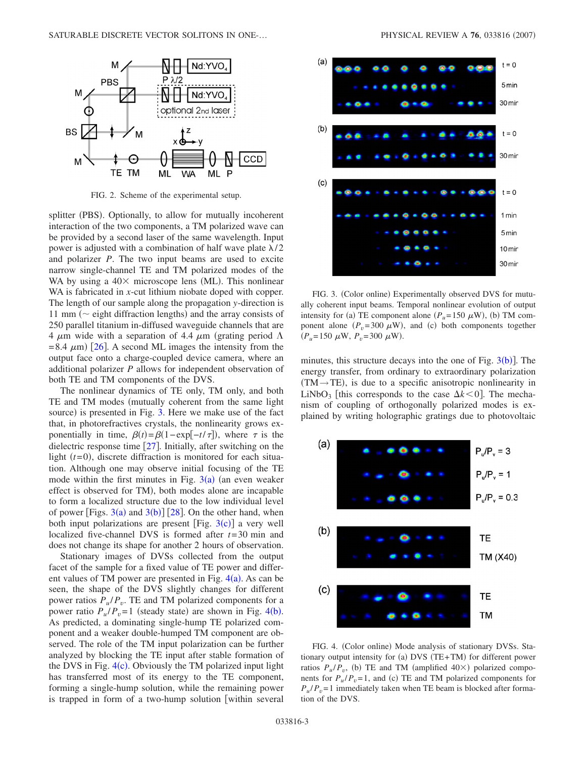<span id="page-2-0"></span>

FIG. 2. Scheme of the experimental setup.

splitter (PBS). Optionally, to allow for mutually incoherent interaction of the two components, a TM polarized wave can be provided by a second laser of the same wavelength. Input power is adjusted with a combination of half wave plate  $\lambda/2$ and polarizer *P*. The two input beams are used to excite narrow single-channel TE and TM polarized modes of the WA by using a  $40\times$  microscope lens (ML). This nonlinear WA is fabricated in *x*-cut lithium niobate doped with copper. The length of our sample along the propagation *y*-direction is 11 mm ( $\sim$  eight diffraction lengths) and the array consists of 250 parallel titanium in-diffused waveguide channels that are 4  $\mu$ m wide with a separation of 4.4  $\mu$ m (grating period  $\Lambda$  $= 8.4 \mu m$ ) [[26](#page-4-0)]. A second ML images the intensity from the output face onto a charge-coupled device camera, where an additional polarizer *P* allows for independent observation of both TE and TM components of the DVS.

The nonlinear dynamics of TE only, TM only, and both TE and TM modes (mutually coherent from the same light source) is presented in Fig. [3.](#page-2-1) Here we make use of the fact that, in photorefractives crystals, the nonlinearity grows exponentially in time,  $\beta(t) = \beta(1 - \exp[-t/\tau])$ , where  $\tau$  is the dielectric response time  $\lceil 27 \rceil$  $\lceil 27 \rceil$  $\lceil 27 \rceil$ . Initially, after switching on the light  $(t=0)$ , discrete diffraction is monitored for each situation. Although one may observe initial focusing of the TE mode within the first minutes in Fig.  $3(a)$  $3(a)$  (an even weaker effect is observed for TM), both modes alone are incapable to form a localized structure due to the low individual level of power [Figs.  $3(a)$  $3(a)$  and  $3(b)$ ] [[28](#page-4-2)]. On the other hand, when both input polarizations are present [Fig.  $3(c)$  $3(c)$ ] a very well localized five-channel DVS is formed after *t*=30 min and does not change its shape for another 2 hours of observation.

Stationary images of DVSs collected from the output facet of the sample for a fixed value of TE power and different values of TM power are presented in Fig.  $4(a)$  $4(a)$ . As can be seen, the shape of the DVS slightly changes for different power ratios  $P_u/P_v$ . TE and TM polarized components for a power ratio  $P_u/P_v = 1$  (steady state) are shown in Fig. [4](#page-2-2)(b). As predicted, a dominating single-hump TE polarized component and a weaker double-humped TM component are observed. The role of the TM input polarization can be further analyzed by blocking the TE input after stable formation of the DVS in Fig.  $4(c)$  $4(c)$ . Obviously the TM polarized input light has transferred most of its energy to the TE component, forming a single-hump solution, while the remaining power is trapped in form of a two-hump solution [within several

<span id="page-2-1"></span>

FIG. 3. (Color online) Experimentally observed DVS for mutually coherent input beams. Temporal nonlinear evolution of output intensity for (a) TE component alone  $(P_u=150 \mu W)$ , (b) TM component alone  $(P_v=300 \ \mu W)$ , and (c) both components together  $(P_u=150 \mu W, P_v=300 \mu W).$ 

minutes, this structure decays into the one of Fig.  $3(b)$  $3(b)$ ]. The energy transfer, from ordinary to extraordinary polarization  $(TM \rightarrow TE)$ , is due to a specific anisotropic nonlinearity in LiNbO<sub>3</sub> [this corresponds to the case  $\Delta k < 0$ ]. The mechanism of coupling of orthogonally polarized modes is explained by writing holographic gratings due to photovoltaic

<span id="page-2-2"></span>

FIG. 4. (Color online) Mode analysis of stationary DVSs. Stationary output intensity for (a) DVS (TE+TM) for different power ratios  $P_u/P_v$ , (b) TE and TM (amplified  $40\times$ ) polarized components for  $P_u/P_v = 1$ , and (c) TE and TM polarized components for  $P_{\nu}/P_{\nu}=1$  immediately taken when TE beam is blocked after formation of the DVS.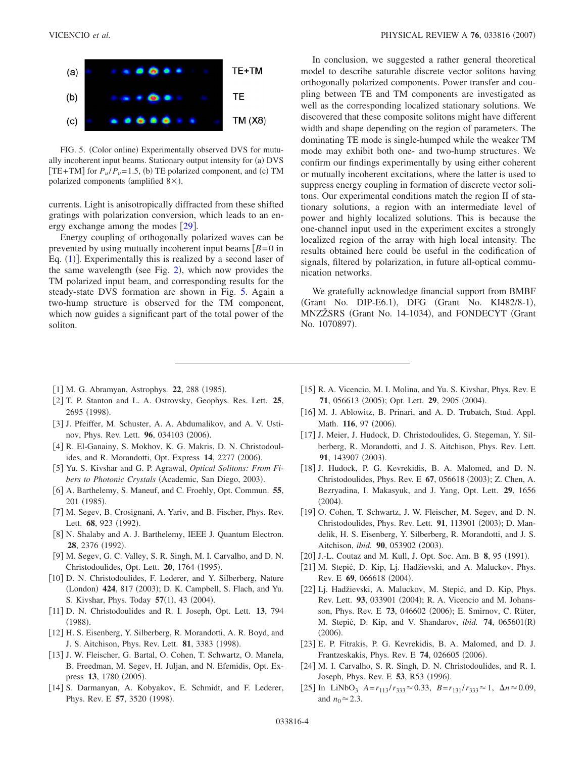<span id="page-3-25"></span>

FIG. 5. (Color online) Experimentally observed DVS for mutually incoherent input beams. Stationary output intensity for (a) DVS [TE+TM] for  $P_u/P_v = 1.5$ , (b) TE polarized component, and (c) TM polarized components (amplified  $8\times$ ).

currents. Light is anisotropically diffracted from these shifted gratings with polarization conversion, which leads to an energy exchange among the modes  $[29]$  $[29]$  $[29]$ .

Energy coupling of orthogonally polarized waves can be prevented by using mutually incoherent input beams  $\sqrt{B}=0$  in Eq. ([1](#page-0-0))]. Experimentally this is realized by a second laser of the same wavelength (see Fig. [2](#page-2-0)), which now provides the TM polarized input beam, and corresponding results for the steady-state DVS formation are shown in Fig. [5.](#page-3-25) Again a two-hump structure is observed for the TM component, which now guides a significant part of the total power of the soliton.

In conclusion, we suggested a rather general theoretical model to describe saturable discrete vector solitons having orthogonally polarized components. Power transfer and coupling between TE and TM components are investigated as well as the corresponding localized stationary solutions. We discovered that these composite solitons might have different width and shape depending on the region of parameters. The dominating TE mode is single-humped while the weaker TM mode may exhibit both one- and two-hump structures. We confirm our findings experimentally by using either coherent or mutually incoherent excitations, where the latter is used to suppress energy coupling in formation of discrete vector solitons. Our experimental conditions match the region II of stationary solutions, a region with an intermediate level of power and highly localized solutions. This is because the one-channel input used in the experiment excites a strongly localized region of the array with high local intensity. The results obtained here could be useful in the codification of signals, filtered by polarization, in future all-optical communication networks.

We gratefully acknowledge financial support from BMBF (Grant No. DIP-E6.1), DFG (Grant No. KI482/8-1), MNZŽSRS (Grant No. 14-1034), and FONDECYT (Grant No. 1070897).

- <span id="page-3-0"></span>[1] M. G. Abramyan, Astrophys. 22, 288 (1985).
- <span id="page-3-1"></span>2 T. P. Stanton and L. A. Ostrovsky, Geophys. Res. Lett. **25**, 2695 (1998).
- <span id="page-3-2"></span>[3] J. Pfeiffer, M. Schuster, A. A. Abdumalikov, and A. V. Ustinov, Phys. Rev. Lett. **96**, 034103 (2006).
- <span id="page-3-3"></span>[4] R. El-Ganainy, S. Mokhov, K. G. Makris, D. N. Christodoulides, and R. Morandotti, Opt. Express 14, 2277 (2006).
- <span id="page-3-4"></span>5 Yu. S. Kivshar and G. P. Agrawal, *Optical Solitons: From Fi*bers to Photonic Crystals (Academic, San Diego, 2003).
- <span id="page-3-5"></span>[6] A. Barthelemy, S. Maneuf, and C. Froehly, Opt. Commun. **55**, 201 (1985).
- <span id="page-3-6"></span>[7] M. Segev, B. Crosignani, A. Yariv, and B. Fischer, Phys. Rev. Lett. **68**, 923 (1992).
- <span id="page-3-7"></span>[8] N. Shalaby and A. J. Barthelemy, IEEE J. Quantum Electron. 28, 2376 (1992).
- <span id="page-3-8"></span>9 M. Segev, G. C. Valley, S. R. Singh, M. I. Carvalho, and D. N. Christodoulides, Opt. Lett. **20**, 1764 (1995).
- <span id="page-3-9"></span>[10] D. N. Christodoulides, F. Lederer, and Y. Silberberg, Nature (London) 424, 817 (2003); D. K. Campbell, S. Flach, and Yu. S. Kivshar, Phys. Today 57(1), 43 (2004).
- <span id="page-3-10"></span>11 D. N. Christodoulides and R. I. Joseph, Opt. Lett. **13**, 794  $(1988).$
- <span id="page-3-11"></span>12 H. S. Eisenberg, Y. Silberberg, R. Morandotti, A. R. Boyd, and J. S. Aitchison, Phys. Rev. Lett. **81**, 3383 (1998).
- <span id="page-3-12"></span>13 J. W. Fleischer, G. Bartal, O. Cohen, T. Schwartz, O. Manela, B. Freedman, M. Segev, H. Juljan, and N. Efemidis, Opt. Express 13, 1780 (2005).
- <span id="page-3-13"></span>[14] S. Darmanyan, A. Kobyakov, E. Schmidt, and F. Lederer, Phys. Rev. E 57, 3520 (1998).
- <span id="page-3-23"></span>[15] R. A. Vicencio, M. I. Molina, and Yu. S. Kivshar, Phys. Rev. E **71**, 056613 (2005); Opt. Lett. **29**, 2905 (2004).
- <span id="page-3-14"></span>[16] M. J. Ablowitz, B. Prinari, and A. D. Trubatch, Stud. Appl. Math. 116, 97 (2006).
- <span id="page-3-15"></span>[17] J. Meier, J. Hudock, D. Christodoulides, G. Stegeman, Y. Silberberg, R. Morandotti, and J. S. Aitchison, Phys. Rev. Lett. 91, 143907 (2003).
- <span id="page-3-16"></span>[18] J. Hudock, P. G. Kevrekidis, B. A. Malomed, and D. N. Christodoulides, Phys. Rev. E 67, 056618 (2003); Z. Chen, A. Bezryadina, I. Makasyuk, and J. Yang, Opt. Lett. **29**, 1656  $(2004).$
- <span id="page-3-17"></span>[19] O. Cohen, T. Schwartz, J. W. Fleischer, M. Segev, and D. N. Christodoulides, Phys. Rev. Lett. 91, 113901 (2003); D. Mandelik, H. S. Eisenberg, Y. Silberberg, R. Morandotti, and J. S. Aitchison, *ibid.* **90**, 053902 (2003).
- <span id="page-3-18"></span>[20] J.-L. Coutaz and M. Kull, J. Opt. Soc. Am. B 8, 95 (1991).
- <span id="page-3-19"></span>[21] M. Stepić, D. Kip, Lj. Hadžievski, and A. Maluckov, Phys. Rev. E 69, 066618 (2004).
- <span id="page-3-20"></span>[22] Lj. Hadžievski, A. Maluckov, M. Stepić, and D. Kip, Phys. Rev. Lett. 93, 033901 (2004); R. A. Vicencio and M. Johansson, Phys. Rev. E 73, 046602 (2006); E. Smirnov, C. Rüter, M. Stepić, D. Kip, and V. Shandarov, *ibid.* **74**, 065601R-  $(2006).$
- <span id="page-3-21"></span>23 E. P. Fitrakis, P. G. Kevrekidis, B. A. Malomed, and D. J. Frantzeskakis, Phys. Rev. E 74, 026605 (2006).
- <span id="page-3-22"></span>[24] M. I. Carvalho, S. R. Singh, D. N. Christodoulides, and R. I. Joseph, Phys. Rev. E 53, R53 (1996).
- <span id="page-3-24"></span> $[25]$  In LiNbO<sub>3</sub>  $A=r_{113}/r_{333}\approx 0.33$ ,  $B=r_{131}/r_{333}\approx 1$ ,  $\Delta n \approx 0.09$ , and  $n_0 \approx 2.3$ .